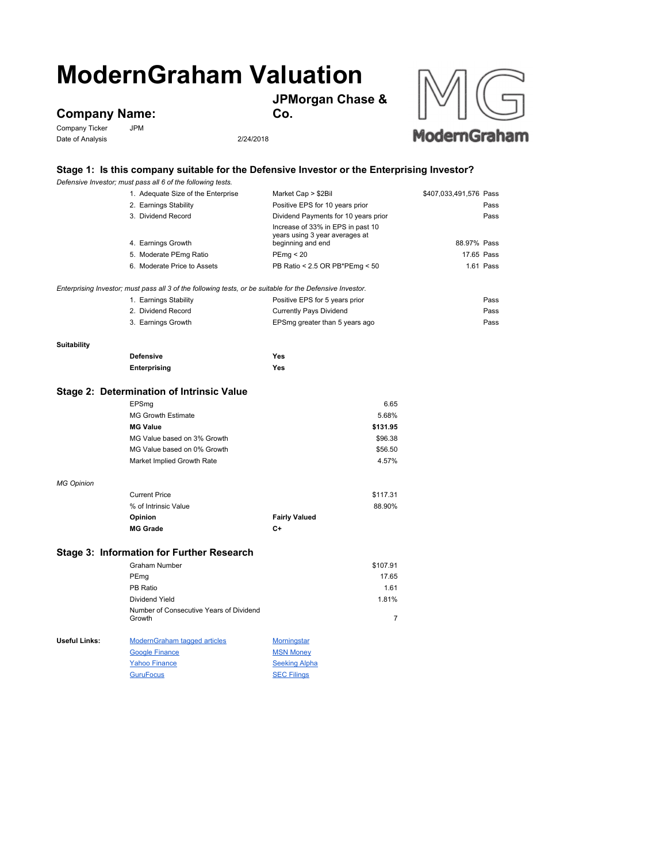## **ModernGraham Valuation**

**JPMorgan Chase &** 

**Company Name:**<br>Company Ticker JPM

Company Ticker Date of Analysis 2/24/2018



**Co.**



## **Stage 1: Is this company suitable for the Defensive Investor or the Enterprising Investor?**

|                                                                                                           | Defensive Investor; must pass all 6 of the following tests. |                                                                                          |                        |  |  |
|-----------------------------------------------------------------------------------------------------------|-------------------------------------------------------------|------------------------------------------------------------------------------------------|------------------------|--|--|
|                                                                                                           | 1. Adequate Size of the Enterprise                          | Market Cap > \$2Bil                                                                      | \$407,033,491,576 Pass |  |  |
|                                                                                                           | 2. Earnings Stability                                       | Positive EPS for 10 years prior                                                          | Pass                   |  |  |
|                                                                                                           | 3. Dividend Record                                          | Dividend Payments for 10 years prior                                                     | Pass                   |  |  |
|                                                                                                           | 4. Earnings Growth                                          | Increase of 33% in EPS in past 10<br>years using 3 year averages at<br>beginning and end | 88.97% Pass            |  |  |
|                                                                                                           | 5. Moderate PEmg Ratio                                      | PEmp < 20                                                                                | 17.65 Pass             |  |  |
|                                                                                                           | 6. Moderate Price to Assets                                 | PB Ratio < 2.5 OR PB*PEmg < 50                                                           | 1.61 Pass              |  |  |
|                                                                                                           |                                                             |                                                                                          |                        |  |  |
| Enterprising Investor; must pass all 3 of the following tests, or be suitable for the Defensive Investor. |                                                             |                                                                                          |                        |  |  |
|                                                                                                           | 1. Earnings Stability                                       | Positive EPS for 5 years prior                                                           | Pass                   |  |  |
|                                                                                                           | 2. Dividend Record                                          | <b>Currently Pays Dividend</b>                                                           | Pass                   |  |  |
|                                                                                                           | 3. Earnings Growth                                          | EPSmg greater than 5 years ago                                                           | Pass                   |  |  |
|                                                                                                           |                                                             |                                                                                          |                        |  |  |
| <b>Suitability</b>                                                                                        |                                                             |                                                                                          |                        |  |  |
|                                                                                                           | <b>Defensive</b>                                            | Yes                                                                                      |                        |  |  |
|                                                                                                           | <b>Enterprising</b>                                         | Yes                                                                                      |                        |  |  |
|                                                                                                           |                                                             |                                                                                          |                        |  |  |
|                                                                                                           | Stage 2: Determination of Intrinsic Value                   |                                                                                          |                        |  |  |
|                                                                                                           | EPSmg                                                       | 6.65                                                                                     |                        |  |  |
|                                                                                                           | <b>MG Growth Estimate</b>                                   | 5.68%                                                                                    |                        |  |  |
|                                                                                                           | <b>MG Value</b>                                             | \$131.95                                                                                 |                        |  |  |
|                                                                                                           | MG Value based on 3% Growth                                 | \$96.38                                                                                  |                        |  |  |
|                                                                                                           | MG Value based on 0% Growth                                 | \$56.50                                                                                  |                        |  |  |
|                                                                                                           | Market Implied Growth Rate                                  | 4.57%                                                                                    |                        |  |  |
|                                                                                                           |                                                             |                                                                                          |                        |  |  |
| <b>MG Opinion</b>                                                                                         | <b>Current Price</b>                                        |                                                                                          |                        |  |  |
|                                                                                                           | % of Intrinsic Value                                        | \$117.31<br>88.90%                                                                       |                        |  |  |
|                                                                                                           |                                                             |                                                                                          |                        |  |  |
|                                                                                                           | Opinion<br><b>MG Grade</b>                                  | <b>Fairly Valued</b><br>C+                                                               |                        |  |  |
|                                                                                                           |                                                             |                                                                                          |                        |  |  |
| Stage 3: Information for Further Research                                                                 |                                                             |                                                                                          |                        |  |  |
|                                                                                                           | Graham Number                                               | \$107.91                                                                                 |                        |  |  |
|                                                                                                           | PEmg                                                        | 17.65                                                                                    |                        |  |  |
|                                                                                                           | PB Ratio                                                    | 1.61                                                                                     |                        |  |  |
|                                                                                                           | Dividend Yield                                              | 1.81%                                                                                    |                        |  |  |
|                                                                                                           | Number of Consecutive Years of Dividend                     |                                                                                          |                        |  |  |
|                                                                                                           | Growth                                                      | $\overline{7}$                                                                           |                        |  |  |
|                                                                                                           |                                                             |                                                                                          |                        |  |  |
| <b>Useful Links:</b>                                                                                      | <b>ModernGraham tagged articles</b>                         | <b>Morningstar</b>                                                                       |                        |  |  |
|                                                                                                           | <b>Google Finance</b>                                       | <b>MSN Money</b>                                                                         |                        |  |  |
|                                                                                                           | <b>Yahoo Finance</b>                                        | <b>Seeking Alpha</b>                                                                     |                        |  |  |

GuruFocus SEC Filings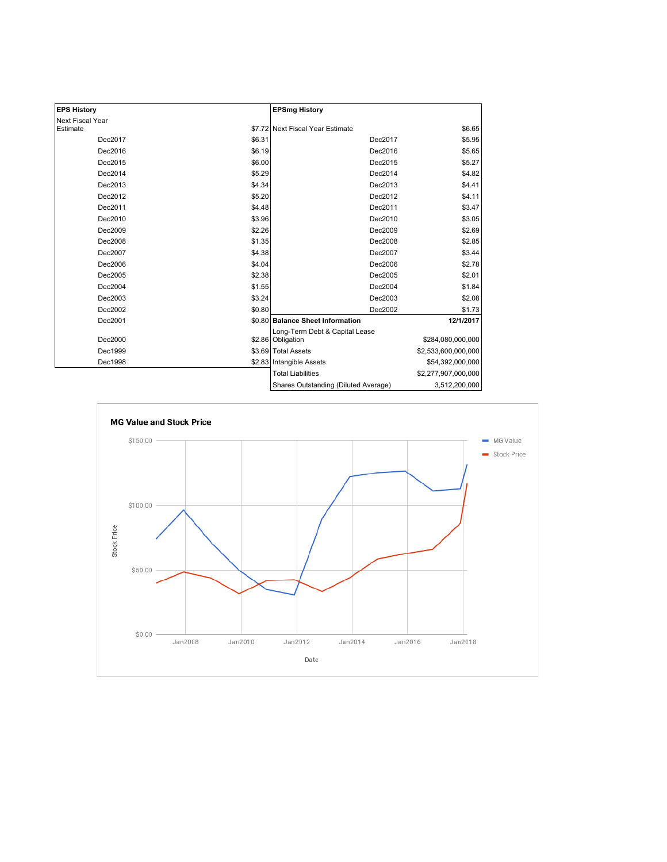| <b>EPS History</b> |        | <b>EPSmg History</b>                                |                     |
|--------------------|--------|-----------------------------------------------------|---------------------|
| Next Fiscal Year   |        |                                                     |                     |
| Estimate           |        | \$7.72 Next Fiscal Year Estimate                    | \$6.65              |
| Dec2017            | \$6.31 | Dec2017                                             | \$5.95              |
| Dec2016            | \$6.19 | Dec2016                                             | \$5.65              |
| Dec2015            | \$6.00 | Dec2015                                             | \$5.27              |
| Dec2014            | \$5.29 | Dec2014                                             | \$4.82              |
| Dec2013            | \$4.34 | Dec2013                                             | \$4.41              |
| Dec2012            | \$5.20 | Dec2012                                             | \$4.11              |
| Dec2011            | \$4.48 | Dec2011                                             | \$3.47              |
| Dec2010            | \$3.96 | Dec2010                                             | \$3.05              |
| Dec2009            | \$2.26 | Dec2009                                             | \$2.69              |
| Dec2008            | \$1.35 | Dec2008                                             | \$2.85              |
| Dec2007            | \$4.38 | Dec2007                                             | \$3.44              |
| Dec2006            | \$4.04 | Dec2006                                             | \$2.78              |
| Dec2005            | \$2.38 | Dec2005                                             | \$2.01              |
| Dec2004            | \$1.55 | Dec2004                                             | \$1.84              |
| Dec2003            | \$3.24 | Dec2003                                             | \$2.08              |
| Dec2002            | \$0.80 | Dec2002                                             | \$1.73              |
| Dec2001            |        | \$0.80 Balance Sheet Information                    | 12/1/2017           |
| Dec2000            |        | Long-Term Debt & Capital Lease<br>\$2.86 Obligation | \$284,080,000,000   |
| Dec1999            |        | \$3.69 Total Assets                                 | \$2,533,600,000,000 |
| Dec1998            |        | \$2.83 Intangible Assets                            | \$54,392,000,000    |
|                    |        | <b>Total Liabilities</b>                            | \$2,277,907,000,000 |
|                    |        | Shares Outstanding (Diluted Average)                | 3,512,200,000       |